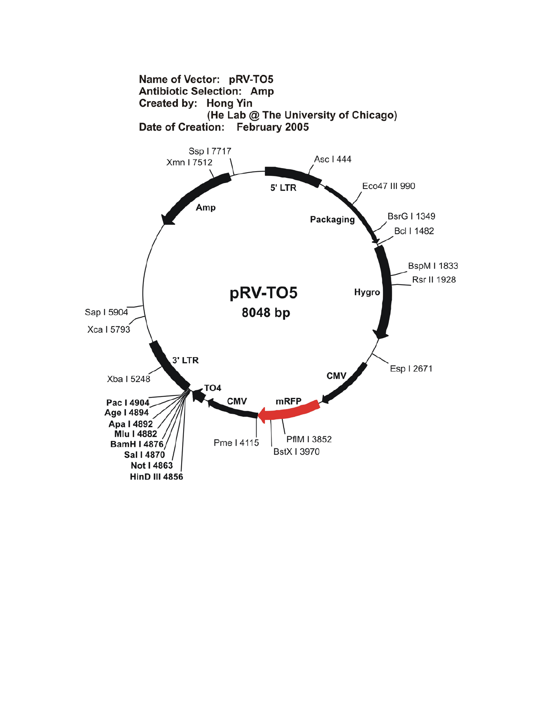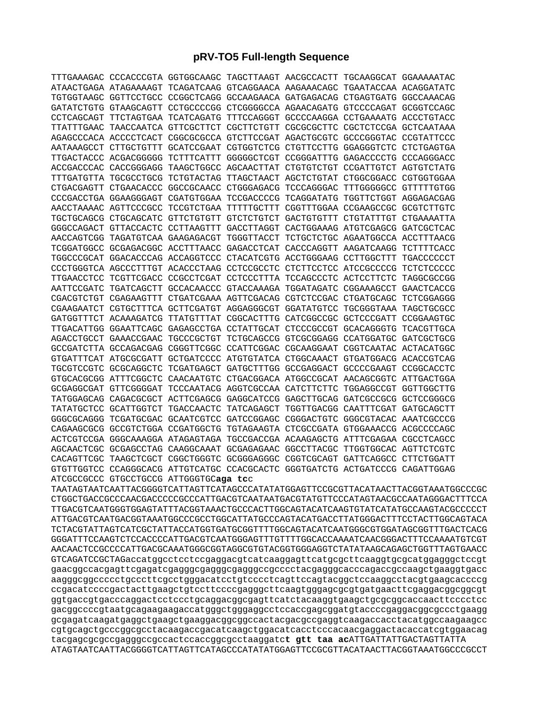## **pRV-TO5 Full-length Sequence**

|                                        | TTTGAAAGAC CCCACCCGTA GGTGGCAAGC TAGCTTAAGT AACGCCACTT TGCAAGGCAT GGAAAAATAC |  |  |
|----------------------------------------|------------------------------------------------------------------------------|--|--|
|                                        | ATAACTGAGA ATAGAAAAGT TCAGATCAAG GTCAGGAACA AAGAAACAGC TGAATACCAA ACAGGATATC |  |  |
|                                        | TGTGGTAAGC GGTTCCTGCC CCGGCTCAGG GCCAAGAACA GATGAGACAG CTGAGTGATG GGCCAAACAG |  |  |
|                                        | GATATCTGTG GTAAGCAGTT CCTGCCCCGG CTCGGGGCCA AGAACAGATG GTCCCCAGAT GCGGTCCAGC |  |  |
|                                        | CCTCAGCAGT TTCTAGTGAA TCATCAGATG TTTCCAGGGT GCCCCAAGGA CCTGAAAATG ACCCTGTACC |  |  |
|                                        | TTATTTGAAC TAACCAATCA GTTCGCTTCT CGCTTCTGTT CGCGCGCTTC CGCTCTCCGA GCTCAATAAA |  |  |
|                                        | AGAGCCCACA ACCCCTCACT CGGCGCGCCA GTCTTCCGAT AGACTGCGTC GCCCGGGTAC CCGTATTCCC |  |  |
|                                        | AATAAAGCCT CTTGCTGTTT GCATCCGAAT CGTGGTCTCG CTGTTCCTTG GGAGGGTCTC CTCTGAGTGA |  |  |
|                                        | TTGACTACCC ACGACGGGGG TCTTTCATTT GGGGGCTCGT CCGGGATTTG GAGACCCCTG CCCAGGGACC |  |  |
|                                        | ACCGACCCAC CACCGGGAGG TAAGCTGGCC AGCAACTTAT CTGTGTCTGT CCGATTGTCT AGTGTCTATG |  |  |
|                                        | TTTGATGTTA TGCGCCTGCG TCTGTACTAG TTAGCTAACT AGCTCTGTAT CTGGCGGACC CGTGGTGGAA |  |  |
|                                        | CTGACGAGTT CTGAACACCC GGCCGCAACC CTGGGAGACG TCCCAGGGAC TTTGGGGGCC GTTTTTGTGG |  |  |
|                                        | CCCGACCTGA GGAAGGGAGT CGATGTGGAA TCCGACCCCG TCAGGATATG TGGTTCTGGT AGGAGACGAG |  |  |
|                                        | AACCTAAAAC AGTTCCCGCC TCCGTCTGAA TTTTTGCTTT CGGTTTGGAA CCGAAGCCGC GCGTCTTGTC |  |  |
|                                        | TGCTGCAGCG CTGCAGCATC GTTCTGTGTT GTCTCTGTCT GACTGTGTTT CTGTATTTGT CTGAAAATTA |  |  |
|                                        | GGGCCAGACT GTTACCACTC CCTTAAGTTT GACCTTAGGT CACTGGAAAG ATGTCGAGCG GATCGCTCAC |  |  |
|                                        |                                                                              |  |  |
|                                        | TCGGATGGCC GCGAGACGGC ACCTTTAACC GAGACCTCAT CACCCAGGTT AAGATCAAGG TCTTTTCACC |  |  |
|                                        | TGGCCCGCAT GGACACCCAG ACCAGGTCCC CTACATCGTG ACCTGGGAAG CCTTGGCTTT TGACCCCCCT |  |  |
|                                        | CCCTGGGTCA AGCCCTTTGT ACACCCTAAG CCTCCGCCTC CTCTTCCTCC ATCCGCCCCG TCTCTCCCCC |  |  |
|                                        | TTGAACCTCC TCGTTCGACC CCGCCTCGAT CCTCCCTTTA TCCAGCCCTC ACTCCTTCTC TAGGCGCCGG |  |  |
|                                        | AATTCCGATC TGATCAGCTT GCCACAACCC GTACCAAAGA TGGATAGATC CGGAAAGCCT GAACTCACCG |  |  |
|                                        | CGACGTCTGT CGAGAAGTTT CTGATCGAAA AGTTCGACAG CGTCTCCGAC CTGATGCAGC TCTCGGAGGG |  |  |
|                                        | CGAAGAATCT CGTGCTTTCA GCTTCGATGT AGGAGGGCGT GGATATGTCC TGCGGGTAAA TAGCTGCGCC |  |  |
|                                        | GATGGTTTCT ACAAAGATCG TTATGTTTAT CGGCACTTTG CATCGGCCGC GCTCCCGATT CCGGAAGTGC |  |  |
|                                        | TTGACATTGG GGAATTCAGC GAGAGCCTGA CCTATTGCAT CTCCCGCCGT GCACAGGGTG TCACGTTGCA |  |  |
|                                        | AGACCTGCCT GAAACCGAAC TGCCCGCTGT TCTGCAGCCG GTCGCGGAGG CCATGGATGC GATCGCTGCG |  |  |
|                                        | GCCGATCTTA GCCAGACGAG CGGGTTCGGC CCATTCGGAC CGCAAGGAAT CGGTCAATAC ACTACATGGC |  |  |
|                                        | GTGATTTCAT ATGCGCGATT GCTGATCCCC ATGTGTATCA CTGGCAAACT GTGATGGACG ACACCGTCAG |  |  |
|                                        | TGCGTCCGTC GCGCAGGCTC TCGATGAGCT GATGCTTTGG GCCGAGGACT GCCCCGAAGT CCGGCACCTC |  |  |
|                                        | GTGCACGCGG ATTTCGGCTC CAACAATGTC CTGACGGACA ATGGCCGCAT AACAGCGGTC ATTGACTGGA |  |  |
|                                        | GCGAGGCGAT GTTCGGGGAT TCCCAATACG AGGTCGCCAA CATCTTCTTC TGGAGGCCGT GGTTGGCTTG |  |  |
|                                        | TATGGAGCAG CAGACGCGCT ACTTCGAGCG GAGGCATCCG GAGCTTGCAG GATCGCCGCG GCTCCGGGCG |  |  |
|                                        | TATATGCTCC GCATTGGTCT TGACCAACTC TATCAGAGCT TGGTTGACGG CAATTTCGAT GATGCAGCTT |  |  |
|                                        | GGGCGCAGGG TCGATGCGAC GCAATCGTCC GATCCGGAGC CGGGACTGTC GGGCGTACAC AAATCGCCCG |  |  |
|                                        | CAGAAGCGCG GCCGTCTGGA CCGATGGCTG TGTAGAAGTA CTCGCCGATA GTGGAAACCG ACGCCCCAGC |  |  |
|                                        | ACTCGTCCGA GGGCAAAGGA ATAGAGTAGA TGCCGACCGA ACAAGAGCTG ATTTCGAGAA CGCCTCAGCC |  |  |
|                                        | AGCAACTCGC GCGAGCCTAG CAAGGCAAAT GCGAGAGAAC GGCCTTACGC TTGGTGGCAC AGTTCTCGTC |  |  |
|                                        | CACAGTTCGC TAAGCTCGCT CGGCTGGGTC GCGGGAGGGC CGGTCGCAGT GATTCAGGCC CTTCTGGATT |  |  |
|                                        | GTGTTGGTCC CCAGGGCACG ATTGTCATGC CCACGCACTC GGGTGATCTG ACTGATCCCG CAGATTGGAG |  |  |
| ATCGCCGCCC GTGCCTGCCG ATTGGGTGCaga tcc |                                                                              |  |  |

TAATAGTAATCAATTACGGGGTCATTAGTTCATAGCCCATATATGGAGTTCCGCGTTACATAACTTACGGTAAATGGCCCGC CTGGCTGACCGCCCAACGACCCCCGCCCATTGACGTCAATAATGACGTATGTTCCCATAGTAACGCCAATAGGGACTTTCCA TTGACGTCAATGGGTGGAGTATTTACGGTAAACTGCCCACTTGGCAGTACATCAAGTGTATCATATGCCAAGTACGCCCCCT ATTGACGTCAATGACGGTAAATGGCCCGCCTGGCATTATGCCCAGTACATGACCTTATGGGACTTTCCTACTTGGCAGTACA TCTACGTATTAGTCATCGCTATTACCATGGTGATGCGGTTTTGGCAGTACATCAATGGGCGTGGATAGCGGTTTGACTCACG GGGATTTCCAAGTCTCCACCCCATTGACGTCAATGGGAGTTTGTTTTGGCACCAAAATCAACGGGACTTTCCAAAATGTCGT AACAACTCCGCCCCATTGACGCAAATGGGCGGTAGGCGTGTACGGTGGGAGGTCTATATAAGCAGAGCTGGTTTAGTGAACC GTCAGATCCGCTAGaccatggcctcctccgaggacgtcatcaaggagttcatgcgcttcaaggtgcgcatggagggctccgt gaacggccacgagttcgagatcgagggcgagggcgagggccgcccctacgagggcacccagaccgccaagctgaaggtgacc aagggcggccccctgcccttcgcctgggacatcctgtcccctcagttccagtacggctccaaggcctacgtgaagcaccccg ccgacatccccgactacttgaagctgtccttccccgagggcttcaagtgggagcgcgtgatgaacttcgaggacggcggcgt ggtgaccgtgacccaggactcctccctgcaggacggcgagttcatctacaaggtgaagctgcgcggcaccaacttcccctcc gacggccccgtaatgcagaagaagaccatgggctgggaggcctccaccgagcggatgtaccccgaggacggcgccctgaagg gcgagatcaagatgaggctgaagctgaaggacggcggccactacgacgccgaggtcaagaccacctacatggccaagaagcc cgtgcagctgcccggcgcctacaagaccgacatcaagctggacatcacctcccacaacgaggactacaccatcgtggaacag tacgagcgcgccgagggccgccactccaccggcgcctaaggatc**t gtt taa ac**ATTGATTATTGACTAGTTATTA ATAGTAATCAATTACGGGGTCATTAGTTCATAGCCCATATATGGAGTTCCGCGTTACATAACTTACGGTAAATGGCCCGCCT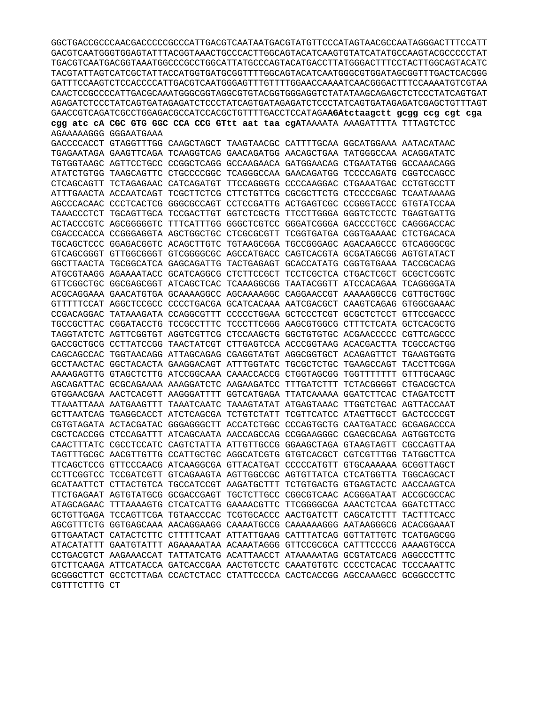```
AGAGATCTCCCTATCAGTGATAGAGATCTCCCTATCAGTGATAGAGATCTCCCTATCAGTGATAGAGATCGAGCTGTTTAGT
GAACCGTCAGATCGCCTGGAGACGCCATCCACGCTGTTTTGACCTCCATAGAAGAtctaagctt gcgg ccg cgt cga
cgg atc cA CGC GTG GGC CCA CCG GTtt aat taa cgATAAAATA AAAGATTTTA TTTAGTCTCC
AGAAAAAGGG GGGAATGAAA
GACCCCACCT GTAGGTTTGG CAAGCTAGCT TAAGTAACGC CATTTTGCAA GGCATGGAAA AATACATAAC
TGAGAATAGA GAAGTTCAGA TCAAGGTCAG GAACAGATGG AACAGCTGAA TATGGGCCAA ACAGGATATC
TGTGGTAAGC AGTTCCTGCC CCGGCTCAGG GCCAAGAACA GATGGAACAG CTGAATATGG GCCAAACAGG
ATATCTGTGG TAAGCAGTTC CTGCCCCGGC TCAGGGCCAA GAACAGATGG TCCCCAGATG CGGTCCAGCC
CTCAGCAGTT TCTAGAGAAC CATCAGATGT TTCCAGGGTG CCCCAAGGAC CTGAAATGAC CCTGTGCCTT
ATTTGAACTA ACCAATCAGT TCGCTTCTCG CTTCTGTTCG CGCGCTTCTG CTCCCCGAGC TCAATAAAAG
AGCCCACAAC CCCTCACTCG GGGCGCCAGT CCTCCGATTG ACTGAGTCGC CCGGGTACCC GTGTATCCAA
TAAACCCTCT TGCAGTTGCA TCCGACTTGT GGTCTCGCTG TTCCTTGGGA GGGTCTCCTC TGAGTGATTG
ACTACCCGTC AGCGGGGGTC TTTCATTTGG GGGCTCGTCC GGGATCGGGA GACCCCTGCC CAGGGACCAC
CGACCCACCA CCGGGAGGTA AGCTGGCTGC CTCGCGCGTT TCGGTGATGA CGGTGAAAAC CTCTGACACA
TGCAGCTCCC GGAGACGGTC ACAGCTTGTC TGTAAGCGGA TGCCGGGAGC AGACAAGCCC GTCAGGGCGC
GTCAGCGGGT GTTGGCGGGT GTCGGGGCGC AGCCATGACC CAGTCACGTA GCGATAGCGG AGTGTATACT
GGCTTAACTA TGCGGCATCA GAGCAGATTG TACTGAGAGT GCACCATATG CGGTGTGAAA TACCGCACAG
ATGCGTAAGG AGAAAATACC GCATCAGGCG CTCTTCCGCT TCCTCGCTCA CTGACTCGCT GCGCTCGGTC
GTTCGGCTGC GGCGAGCGGT ATCAGCTCAC TCAAAGGCGG TAATACGGTT ATCCACAGAA TCAGGGGATA
ACGCAGGAAA GAACATGTGA GCAAAAGGCC AGCAAAAGGC CAGGAACCGT AAAAAGGCCG CGTTGCTGGC
GTTTTTCCAT AGGCTCCGCC CCCCTGACGA GCATCACAAA AATCGACGCT CAAGTCAGAG GTGGCGAAAC
CCGACAGGAC TATAAAGATA CCAGGCGTTT CCCCCTGGAA GCTCCCTCGT GCGCTCTCCT GTTCCGACCC
TGCCGCTTAC CGGATACCTG TCCGCCTTTC TCCCTTCGGG AAGCGTGGCG CTTTCTCATA GCTCACGCTG
TAGGTATCTC AGTTCGGTGT AGGTCGTTCG CTCCAAGCTG GGCTGTGTGC ACGAACCCCC CGTTCAGCCC
GACCGCTGCG CCTTATCCGG TAACTATCGT CTTGAGTCCA ACCCGGTAAG ACACGACTTA TCGCCACTGG
CAGCAGCCAC TGGTAACAGG ATTAGCAGAG CGAGGTATGT AGGCGGTGCT ACAGAGTTCT TGAAGTGGTG
GCCTAACTAC GGCTACACTA GAAGGACAGT ATTTGGTATC TGCGCTCTGC TGAAGCCAGT TACCTTCGGA
AAAAGAGTTG GTAGCTCTTG ATCCGGCAAA CAAACCACCG CTGGTAGCGG TGGTTTTTTT GTTTGCAAGC
AGCAGATTAC GCGCAGAAAA AAAGGATCTC AAGAAGATCC TTTGATCTTT TCTACGGGGT CTGACGCTCA
GTGGAACGAA AACTCACGTT AAGGGATTTT GGTCATGAGA TTATCAAAAA GGATCTTCAC CTAGATCCTT
TTAAATTAAA AATGAAGTTT TAAATCAATC TAAAGTATAT ATGAGTAAAC TTGGTCTGAC AGTTACCAAT
GCTTAATCAG TGAGGCACCT ATCTCAGCGA TCTGTCTATT TCGTTCATCC ATAGTTGCCT GACTCCCCGT
CGTGTAGATA ACTACGATAC GGGAGGGCTT ACCATCTGGC CCCAGTGCTG CAATGATACC GCGAGACCCA
CGCTCACCGG CTCCAGATTT ATCAGCAATA AACCAGCCAG CCGGAAGGGC CGAGCGCAGA AGTGGTCCTG
CAACTTTATC CGCCTCCATC CAGTCTATTA ATTGTTGCCG GGAAGCTAGA GTAAGTAGTT CGCCAGTTAA
TAGTTTGCGC AACGTTGTTG CCATTGCTGC AGGCATCGTG GTGTCACGCT CGTCGTTTGG TATGGCTTCA
TTCAGCTCCG GTTCCCAACG ATCAAGGCGA GTTACATGAT CCCCCATGTT GTGCAAAAAA GCGGTTAGCT
CCTTCGGTCC TCCGATCGTT GTCAGAAGTA AGTTGGCCGC AGTGTTATCA CTCATGGTTA TGGCAGCACT
GCATAATTCT CTTACTGTCA TGCCATCCGT AAGATGCTTT TCTGTGACTG GTGAGTACTC AACCAAGTCA
TTCTGAGAAT AGTGTATGCG GCGACCGAGT TGCTCTTGCC CGGCGTCAAC ACGGGATAAT ACCGCGCCAC
ATAGCAGAAC TTTAAAAGTG CTCATCATTG GAAAACGTTC TTCGGGGCGA AAACTCTCAA GGATCTTACC
GCTGTTGAGA TCCAGTTCGA TGTAACCCAC TCGTGCACCC AACTGATCTT CAGCATCTTT TACTTTCACC
AGCGTTTCTG GGTGAGCAAA AACAGGAAGG CAAAATGCCG CAAAAAAGGG AATAAGGGCG ACACGGAAAT
GTTGAATACT CATACTCTTC CTTTTTCAAT ATTATTGAAG CATTTATCAG GGTTATTGTC TCATGAGCGG
ATACATATTT GAATGTATTT AGAAAAATAA ACAAATAGGG GTTCCGCGCA CATTTCCCCG AAAAGTGCCA
CCTGACGTCT AAGAAACCAT TATTATCATG ACATTAACCT ATAAAAATAG GCGTATCACG AGGCCCTTTC
GTCTTCAAGA ATTCATACCA GATCACCGAA AACTGTCCTC CAAATGTGTC CCCCTCACAC TCCCAAATTC
GCGGGCTTCT GCCTCTTAGA CCACTCTACC CTATTCCCCA CACTCACCGG AGCCAAAGCC GCGGCCCTTC
CGTTTCTTTG CT
```
GGCTGACCGCCCAACGACCCCCCCCCATTGACGTCAATAATGACGTATGTTCCCATAGTAACGCCAATAGGGACTTTCCATT GACGTCAATGGGTGGAGTATTTACGGTAAACTGCCCACTTGGCAGTACATCAAGTGTATCATATGCCAAGTACGCCCCCTAT TGACGTCAATGACGGTAAATGGCCCGCCTGGCATTATGCCCAGTACATGACCTTATGGGACTTTCCTACTTGGCAGTACATC TACGTATTAGTCATCGCTATTACCATGGTGATGCGGTTTTGGCAGTACATCAATGGGCGTGGATAGCGGTTTGACTCACGGG CAACTCCGCCCCATTGACGCAAATGGGCGGTAGGCGTGTACGGTGGAGGTCTATATAAGCAGAGCTCTCCCTATCAGTGAT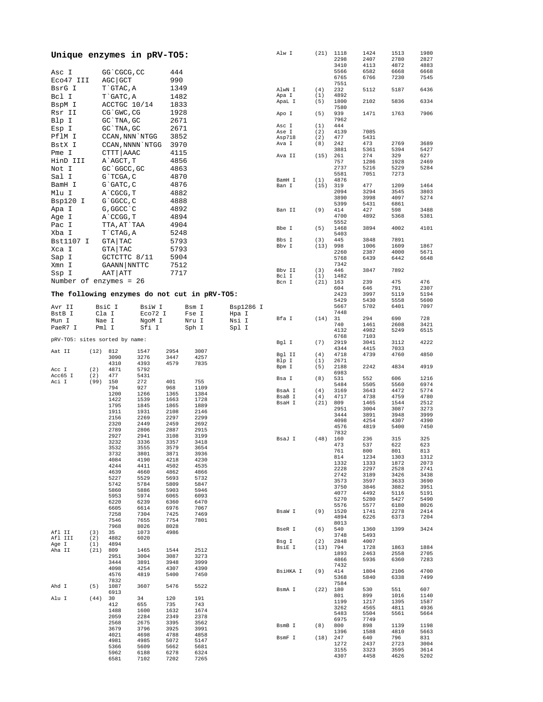| Unique enzymes in pRV-TO5:     |            |                  |                  |              |                                              |           | Alw I            | (21)        | 1118         | 1424         | 1513         | 1980         |
|--------------------------------|------------|------------------|------------------|--------------|----------------------------------------------|-----------|------------------|-------------|--------------|--------------|--------------|--------------|
|                                |            |                  |                  |              |                                              |           |                  |             | 2298<br>3410 | 2407<br>4113 | 2780<br>4872 | 2827<br>4883 |
| Asc I                          |            | GG CGCG, CC      |                  | 444          |                                              |           |                  |             | 5566         | 6582         | 6668         | 6668         |
|                                |            |                  |                  |              |                                              |           |                  |             | 6765         | 6766         | 7230         | 7545         |
| Eco47 III                      |            | AGC GCT          |                  | 990          |                                              |           |                  |             | 7551         |              |              |              |
| BsrG I                         |            | T`GTAC, A        |                  | 1349         |                                              |           | AlwN I           | (4)         | 232          | 5112         | 5187         | 6436         |
| Bcl I                          |            | T GATC, A        |                  | 1482         |                                              |           | Apa I            | (1)         | 4892         |              |              |              |
| BspM I                         |            | ACCTGC 10/14     |                  | 1833         |                                              |           | ApaL I           | (5)         | 1800<br>7580 | 2102         | 5836         | 6334         |
| Rsr II                         |            | CG`GWC, CG       |                  | 1928         |                                              |           | Apo I            | (5)         | 939          | 1471         | 1763         | 7906         |
| Blp I                          |            | GC TNA, GC       |                  | 2671         |                                              |           |                  |             | 7962         |              |              |              |
| Esp I                          |            | GC TNA, GC       |                  | 2671         |                                              |           | Asc I            | (1)         | 444          |              |              |              |
|                                |            |                  |                  |              |                                              |           | Ase I            | (2)         | 4139         | 7085         |              |              |
| PflM I                         |            | CCAN, NNN `NTGG  |                  | 3852         |                                              |           | Asp718           | (2)         | 477          | 5431         |              |              |
| BstX I                         |            |                  | CCAN, NNNN `NTGG | 3970         |                                              |           | Ava I            | (8)         | 242<br>3881  | 473<br>5361  | 2769<br>5394 | 3689<br>5427 |
| Pme I                          |            | CTTT   AAAC      |                  | 4115         |                                              |           | Ava II           | (15)        | 261          | 274          | 329          | 627          |
| HinD III                       |            | A AGCT, T        |                  | 4856         |                                              |           |                  |             | 757          | 1286         | 1928         | 2469         |
| Not I                          |            | GC 'GGCC, GC     |                  | 4863         |                                              |           |                  |             | 2737         | 5216         | 5229         | 5284         |
| Sal I                          |            | G`TCGA, C        |                  | 4870         |                                              |           |                  |             | 5581         | 7051         | 7273         |              |
| BamH I                         |            | $G$ $GATC$ , $C$ |                  | 4876         |                                              |           | BamH I           | (1)         | 4876         | 477          | 1209         | 1464         |
|                                |            |                  |                  |              |                                              |           | Ban I            | (15)        | 319<br>2094  | 3294         | 3545         | 3803         |
| Mlu I                          |            | A CGCG, T        |                  | 4882         |                                              |           |                  |             | 3890         | 3998         | 4097         | 5274         |
| Bsp120 I                       |            | G`GGCC, C        |                  | 4888         |                                              |           |                  |             | 5399         | 5431         | 6861         |              |
| Apa I                          |            | G, GGCC C        |                  | 4892         |                                              |           | Ban II           | (9)         | 414          | 427          | 598          | 3488         |
| Age I                          |            | A CCGG, T        |                  | 4894         |                                              |           |                  |             | 4700         | 4892         | 5368         | 5381         |
| Pac I                          |            | TTA, AT`TAA      |                  | 4904         |                                              |           | Bbe I            | (5)         | 5552<br>1468 | 3894         | 4002         | 4101         |
| Xba I                          |            | T CTAG, A        |                  | 5248         |                                              |           |                  |             | 5403         |              |              |              |
| Bst1107 I                      |            | GTA   TAC        |                  | 5793         |                                              |           | Bbs I            | (3)         | 445          | 3848         | 7891         |              |
| Xca I                          |            | GTA   TAC        |                  | 5793         |                                              |           | Bbv I            | (13)        | 998          | 1006         | 1609         | 1867         |
|                                |            |                  |                  |              |                                              |           |                  |             | 2260         | 2387         | 4000         | 5671         |
| Sap I                          |            | GCTCTTC 8/11     |                  | 5904         |                                              |           |                  |             | 5768         | 6439         | 6442         | 6648         |
| Xmn I                          |            | GAANN   NNTTC    |                  | 7512         |                                              |           | Bbv II           | (3)         | 7342<br>446  | 3847         | 7892         |              |
| Ssp I                          |            | AAT   ATT        |                  | 7717         |                                              |           | Bcl I            | (1)         | 1482         |              |              |              |
| Number of enzymes = 26         |            |                  |                  |              |                                              |           | Bcn I            | (21)        | 163          | 239          | 475          | 476          |
|                                |            |                  |                  |              |                                              |           |                  |             | 604          | 646          | 791          | 2307         |
|                                |            |                  |                  |              | The following enzymes do not cut in pRV-T05: |           |                  |             | 2423         | 3997         | 5119         | 5194         |
|                                |            |                  |                  |              |                                              |           |                  |             | 5429         | 5430         | 5558         | 5600         |
| Avr II                         |            | BsiC I           | BsiW I           |              | Bsm I                                        | Bsp1286 I |                  |             | 5667<br>7448 | 5702         | 6401         | 7097         |
| BstB I                         | Cla I      |                  | Eco72 I          |              | Fse I                                        | Hpa I     | Bfa I            | (14)        | 31           | 294          | 690          | 728          |
| Mun I                          | Nae I      |                  | NgoM I           |              | Nru I                                        | Nsi I     |                  |             | 740          | 1461         | 2608         | 3421         |
| PaeR7 I                        | Pml I      |                  | Sfi I            |              | Sph I                                        | Spl I     |                  |             | 4132         | 4982         | 5249         | 6515         |
| pRV-TO5: sites sorted by name: |            |                  |                  |              |                                              |           |                  |             | 6768         | 7103         |              |              |
|                                |            |                  |                  |              |                                              |           | Bgl I            | (7)         | 2919         | 3041         | 3112         | 4222         |
| Aat II                         | (12)       | 812              | 1547             | 2954         | 3007                                         |           | Bgl II           | (4)         | 4344<br>4718 | 4415<br>4739 | 7033<br>4760 | 4850         |
|                                |            | 3090             | 3276             | 3447         | 4257                                         |           | Blp I            | (1)         | 2671         |              |              |              |
|                                |            | 4310             | 4393             | 4579         | 7835                                         |           | Bpm I            | (5)         | 2188         | 2242         | 4834         | 4919         |
| Acc I<br>Acc65 I               | (2)<br>(2) | 4871<br>477      | 5792<br>5431     |              |                                              |           |                  |             | 6983         |              |              |              |
| Aci I                          | (99)       | 150              | 272              | 401          | 755                                          |           | Bsa I            | (8)         | 531          | 552          | 606          | 1216         |
|                                |            | 794              | 927              | 968          | 1109                                         |           |                  |             | 5484<br>3169 | 5505<br>3643 | 5560<br>4472 | 6974<br>5774 |
|                                |            | 1200             | 1266             | 1365         | 1384                                         |           | BsaA I<br>BsaB I | (4)<br>(4)  | 4717         | 4738         | 4759         | 4780         |
|                                |            | 1422             | 1539             | 1663         | 1728                                         |           | BsaH I           | (21)        | 809          | 1465         | 1544         | 2512         |
|                                |            | 1795<br>1911     | 1845<br>1931     | 1865<br>2108 | 1889<br>2146                                 |           |                  |             | 2951         | 3004         | 3087         | 3273         |
|                                |            | 2156             | 2269             | 2297         | 2299                                         |           |                  |             | 3444         | 3891         | 3948         | 3999         |
|                                |            | 2320             | 2449             | 2459         | 2692                                         |           |                  |             | 4098<br>4576 | 4254<br>4819 | 4307<br>5400 | 4390<br>7450 |
|                                |            | 2789             | 2806             | 2887         | 2915                                         |           |                  |             | 7832         |              |              |              |
|                                |            | 2927             | 2941             | 3108         | 3199                                         |           | BsaJ I           | (48)        | 160          | 236          | 315          | 325          |
|                                |            | 3232             | 3336             | 3357         | 3418<br>3654                                 |           |                  |             | 473          | 537          | 622          | 623          |
|                                |            | 3532<br>3732     | 3555<br>3801     | 3579<br>3871 | 3936                                         |           |                  |             | 761          | 800          | 801          | 813          |
|                                |            | 4084             | 4190             | 4218         | 4230                                         |           |                  |             | 814          | 1234         | 1303         | 1312         |
|                                |            | 4244             | 4411             | 4502         | 4535                                         |           |                  |             | 1332<br>2228 | 1333<br>2297 | 1872<br>2528 | 2073<br>2741 |
|                                |            | 4639             | 4660             | 4862         | 4866                                         |           |                  |             | 2742         | 3189         | 3426         | 3438         |
|                                |            | 5227             | 5529             | 5693         | 5732                                         |           |                  |             | 3573         | 3597         | 3633         | 3690         |
|                                |            | 5742<br>5860     | 5784<br>5886     | 5809<br>5903 | 5847<br>5946                                 |           |                  |             | 3750         | 3846         | 3882         | 3951         |
|                                |            | 5953             | 5974             | 6065         | 6093                                         |           |                  |             | 4077         | 4492         | 5116         | 5191         |
|                                |            | 6220             | 6239             | 6360         | 6470                                         |           |                  |             | 5270         | 5280<br>5577 | 5427         | 5490         |
|                                |            | 6605             | 6614             | 6976         | 7067                                         |           | BsaW I           | (9)         | 5576<br>1520 | 1741         | 6180<br>2278 | 8026<br>2414 |
|                                |            | 7258             | 7304             | 7425         | 7469                                         |           |                  |             | 4894         | 6226         | 6373         | 7204         |
|                                |            | 7546             | 7655             | 7754         | 7801                                         |           |                  |             | 8013         |              |              |              |
| Afl II                         | (3)        | 7968<br>35       | 8026<br>1073     | 8028<br>4986 |                                              |           | BseR I           | (6)         | 540          | 1360         | 1399         | 3424         |
| Afl III                        | (2)        | 4882             | 6020             |              |                                              |           |                  |             | 3748         | 5493         |              |              |
| Age I                          | (1)        | 4894             |                  |              |                                              |           | Bsg I<br>BsiE I  | (2)<br>(13) | 2848<br>794  | 4007<br>1728 | 1863         | 1884         |
| Aha II                         | (21)       | 809              | 1465             | 1544         | 2512                                         |           |                  |             | 1893         | 2463         | 2558         | 2705         |
|                                |            | 2951             | 3004             | 3087         | 3273                                         |           |                  |             | 4866         | 5936         | 6360         | 7283         |
|                                |            | 3444<br>4098     | 3891<br>4254     | 3948<br>4307 | 3999<br>4390                                 |           |                  |             | 7432         |              |              |              |
|                                |            | 4576             | 4819             | 5400         | 7450                                         |           | BsiHKA I         | (9)         | 414          | 1804         | 2106         | 4700         |
|                                |            | 7832             |                  |              |                                              |           |                  |             | 5368         | 5840         | 6338         | 7499         |
| Ahd I                          | (5)        | 1087             | 3607             | 5476         | 5522                                         |           | BsmA I           | (22)        | 7584<br>180  | 530          | 551          | 607          |
|                                |            | 6913             |                  |              |                                              |           |                  |             | 801          | 899          | 1016         | 1140         |
| Alu I                          | (44)       | 30<br>412        | 34<br>655        | 120<br>735   | 191<br>743                                   |           |                  |             | 1199         | 1217         | 1395         | 1587         |
|                                |            | 1488             | 1600             | 1632         | 1674                                         |           |                  |             | 3262         | 4565         | 4811         | 4936         |
|                                |            | 2059             | 2284             | 2349         | 2378                                         |           |                  |             | 5483         | 5504         | 5561         | 5664         |
|                                |            | 2568             | 2675             | 3395         | 3562                                         |           | BsmB I           | (8)         | 6975<br>800  | 7749<br>898  | 1139         | 1198         |
|                                |            | 3679             | 3796             | 3925         | 3991                                         |           |                  |             | 1396         | 1588         | 4810         | 5663         |
|                                |            | 4021             | 4698             | 4788         | 4858                                         |           | BsmF I           | (18)        | 247          | 640          | 796          | 831          |
|                                |            | 4981<br>5366     | 4985<br>5609     | 5072<br>5662 | 5147<br>5681                                 |           |                  |             | 1272         | 2437         | 2723         | 3004         |
|                                |            | 5962             | 6188             | 6278         | 6324                                         |           |                  |             | 3155         | 3323         | 3595         | 3614         |
|                                |            | 6581             | 7102             | 7202         | 7265                                         |           |                  |             | 4307         | 4458         | 4626         | 5202         |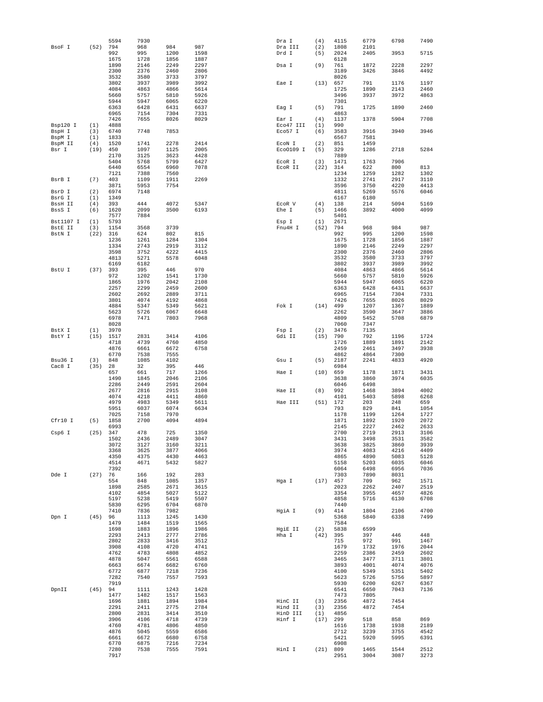|                      |            | 5594         | 7930         |              |              | Dra I            | (4)         | 4115         | 6779         | 6798         | 7490         |
|----------------------|------------|--------------|--------------|--------------|--------------|------------------|-------------|--------------|--------------|--------------|--------------|
| BsoF I               | (52)       | 794          | 968          | 984          | 987          | Dra III          | (2)         | 1808         | 2101         |              |              |
|                      |            | 992<br>1675  | 995<br>1728  | 1200<br>1856 | 1598<br>1887 | Drd I            | (5)         | 2024<br>6128 | 2405         | 3953         | 5715         |
|                      |            | 1890         | 2146         | 2249         | 2297         | Dsa I            | (9)         | 761          | 1872         | 2228         | 2297         |
|                      |            | 2300         | 2376         | 2460         | 2806         |                  |             | 3189         | 3426         | 3846         | 4492         |
|                      |            | 3532         | 3580         | 3733         | 3797         |                  |             | 8026         |              |              |              |
|                      |            | 3802         | 3937         | 3989         | 3992         | Eae I            | (13)        | 657          | 791          | 1176         | 1197         |
|                      |            | 4084         | 4863         | 4866         | 5614         |                  |             | 1725         | 1890         | 2143         | 2460         |
|                      |            | 5660         | 5757         | 5810         | 5926         |                  |             | 3496         | 3937         | 3972         | 4863         |
|                      |            | 5944         | 5947         | 6065         | 6220         |                  |             | 7301         |              |              |              |
|                      |            | 6363         | 6428         | 6431         | 6637         | Eag I            | (5)         | 791          | 1725         | 1890         | 2460         |
|                      |            | 6965<br>7426 | 7154<br>7655 | 7304<br>8026 | 7331<br>8029 | Ear I            | (4)         | 4863<br>1137 | 1378         | 5904         | 7708         |
| Bsp120 I             | (1)        | 4888         |              |              |              | Eco47 III        | (1)         | 990          |              |              |              |
| BspH I               | (3)        | 6740         | 7748         | 7853         |              | Eco57 I          | (6)         | 3583         | 3916         | 3940         | 3946         |
| BspM I               | (1)        | 1833         |              |              |              |                  |             | 6567         | 7581         |              |              |
| BspM II              | (4)        | 1520         | 1741         | 2278         | 2414         | ECON I           | (2)         | 851          | 1459         |              |              |
| Bsr I                | (19)       | 450          | 1097         | 1125         | 2005         | Eco0109 I        | (5)         | 329          | 1286         | 2718         | 5284         |
|                      |            | 2170         | 3125         | 3623         | 4428         |                  |             | 7889         |              |              |              |
|                      |            | 5404         | 5768         | 5799         | 6427         | ECOR I           | (3)         | 1471         | 1763         | 7906         |              |
|                      |            | 6440<br>7121 | 6554<br>7388 | 6960<br>7560 | 7078         | ECOR II          | (22)        | 314<br>1234  | 622<br>1259  | 800<br>1282  | 813<br>1302  |
| BsrB I               | (7)        | 403          | 1109         | 1911         | 2269         |                  |             | 1332         | 2741         | 2917         | 3110         |
|                      |            | 3871         | 5953         | 7754         |              |                  |             | 3596         | 3750         | 4220         | 4413         |
| BsrD I               | (2)        | 6974         | 7148         |              |              |                  |             | 4811         | 5269         | 5576         | 6046         |
| BsrG I               | (1)        | 1349         |              |              |              |                  |             | 6167         | 6180         |              |              |
| BssH II              | (4)        | 393          | 444          | 4072         | 5347         | ECOR V           | (4)         | 138          | 214          | 5094         | 5169         |
| BssS I               | (6)        | 1620         | 2099         | 3500         | 6193         | Ehe I            | (5)         | 1466         | 3892         | 4000         | 4099         |
|                      |            | 7577         | 7884         |              |              |                  |             | 5401         |              |              |              |
| Bst1107 I<br>BstE II | (1)<br>(3) | 5793<br>1154 | 3568         | 3739         |              | Esp I<br>Fnu4H I | (1)<br>(52) | 2671<br>794  | 968          | 984          | 987          |
| BstN I               | (22)       | 316          | 624          | 802          | 815          |                  |             | 992          | 995          | 1200         | 1598         |
|                      |            | 1236         | 1261         | 1284         | 1304         |                  |             | 1675         | 1728         | 1856         | 1887         |
|                      |            | 1334         | 2743         | 2919         | 3112         |                  |             | 1890         | 2146         | 2249         | 2297         |
|                      |            | 3598         | 3752         | 4222         | 4415         |                  |             | 2300         | 2376         | 2460         | 2806         |
|                      |            | 4813         | 5271         | 5578         | 6048         |                  |             | 3532         | 3580         | 3733         | 3797         |
|                      |            | 6169         | 6182         |              |              |                  |             | 3802         | 3937         | 3989         | 3992         |
| BstU I               | (37)       | 393          | 395          | 446          | 970          |                  |             | 4084         | 4863         | 4866         | 5614         |
|                      |            | 972<br>1865  | 1202<br>1976 | 1541<br>2042 | 1730<br>2108 |                  |             | 5660<br>5944 | 5757<br>5947 | 5810<br>6065 | 5926<br>6220 |
|                      |            | 2257         | 2299         | 2459         | 2600         |                  |             | 6363         | 6428         | 6431         | 6637         |
|                      |            | 2602         | 2692         | 2889         | 3711         |                  |             | 6965         | 7154         | 7304         | 7331         |
|                      |            | 3801         | 4074         | 4192         | 4868         |                  |             | 7426         | 7655         | 8026         | 8029         |
|                      |            | 4884         | 5347         | 5349         | 5621         | Fok I            | (14)        | 499          | 1207         | 1367         | 1889         |
|                      |            | 5623         | 5726         | 6067         | 6648         |                  |             | 2262         | 3590         | 3647         | 3886         |
|                      |            | 6978         | 7471         | 7803         | 7968         |                  |             | 4809         | 5452         | 5708         | 6879         |
|                      |            | 8028         |              |              |              |                  |             | 7060         | 7347         |              |              |
| BstX I               | (1)        | 3970         |              |              | 4106         | Fsp I            | (2)         | 3476         | 7135         |              |              |
| BstY I               | (15)       | 1517<br>4718 | 2831<br>4739 | 3414<br>4760 | 4850         | Gdi II           | (15)        | 790<br>1726  | 792<br>1889  | 1196<br>1891 | 1724<br>2142 |
|                      |            | 4876         | 6661         | 6672         | 6758         |                  |             | 2459         | 2461         | 3497         | 3938         |
|                      |            | 6770         | 7538         | 7555         |              |                  |             | 4862         | 4864         | 7300         |              |
| Bsu36 I              | (3)        | 848          | 1085         | 4102         |              | Gsu I            | (5)         | 2187         | 2241         | 4833         | 4920         |
| Cac8 I               | (35)       | 28           | 32           | 395          | 446          |                  |             | 6984         |              |              |              |
|                      |            | 657          | 661          | 717          | 1266         | Hae I            | (10)        | 659          | 1178         | 1871         | 3431         |
|                      |            | 1490         | 1845         | 2046         | 2106         |                  |             | 3638         | 3860         | 3974         | 6035         |
|                      |            | 2286         | 2449         | 2591         | 2604         |                  |             | 6046         | 6498         |              |              |
|                      |            | 2677         | 2816         | 2915         | 3108         | Hae II           | (8)         | 992          | 1468         | 3894         | 4002         |
|                      |            | 4074<br>4979 | 4218<br>4983 | 4411<br>5349 | 4860<br>5611 | Hae III          | (51)        | 4101<br>172  | 5403<br>203  | 5898<br>248  | 6268<br>659  |
|                      |            | 5951         | 6037         | 6074         | 6634         |                  |             | 793          | 829          | 841          | 1054         |
|                      |            | 7025         | 7158         | 7970         |              |                  |             | 1178         | 1199         | 1264         | 1727         |
| Cfr10 I              | (5)        | 1858         | 2700         | 4094         | 4894         |                  |             | 1871         | 1892         | 1920         | 2072         |
|                      |            | 6993         |              |              |              |                  |             | 2145         | 2227         | 2462         | 2633         |
| Csp6 I               | (25)       | 347          | 478          | 725          | 1350         |                  |             | 2700         | 2719         | 2913         | 3106         |
|                      |            | 1502         | 2436         | 2489         | 3047         |                  |             | 3431         | 3498         | 3531         | 3582         |
|                      |            | 3072<br>3368 | 3127<br>3625 | 3160         | 3211<br>4066 |                  |             | 3638<br>3974 | 3825<br>4083 | 3860<br>4216 | 3939<br>4409 |
|                      |            | 4350         | 4375         | 3877<br>4430 | 4463         |                  |             | 4865         | 4890         | 5083         | 5128         |
|                      |            | 4514         | 4671         | 5432         | 5827         |                  |             | 5158         | 5203         | 6035         | 6046         |
|                      |            | 7392         |              |              |              |                  |             | 6064         | 6498         | 6956         | 7036         |
| Dde I                | (27)       | 76           | 166          | 192          | 283          |                  |             | 7303         | 7890         | 8031         |              |
|                      |            | 554          | 848          | 1085         | 1357         | Hga I            | (17)        | 457          | 709          | 962          | 1571         |
|                      |            | 1898         | 2585         | 2671         | 3615         |                  |             | 2023         | 2262         | 2407         | 2519         |
|                      |            | 4102         | 4854         | 5027         | 5122         |                  |             | 3354         | 3955         | 4657         | 4826         |
|                      |            | 5197<br>5830 | 5238         | 5419<br>6704 | 5507<br>6870 |                  |             | 4858<br>7440 | 5716         | 6130         | 6708         |
|                      |            | 7410         | 6295<br>7836 | 7982         |              | HgiA I           | (9)         | 414          | 1804         | 2106         | 4700         |
| Dpn I                | (45)       | 96           | 1113         | 1245         | 1430         |                  |             | 5368         | 5840         | 6338         | 7499         |
|                      |            | 1479         | 1484         | 1519         | 1565         |                  |             | 7584         |              |              |              |
|                      |            | 1698         | 1883         | 1896         | 1986         | HgiE II          | (2)         | 5838         | 6599         |              |              |
|                      |            | 2293         | 2413         | 2777         | 2786         | Hha I            | (42)        | 395          | 397          | 446          | 448          |
|                      |            | 2802         | 2833         | 3416         | 3512         |                  |             | 715          | 972          | 991          | 1467         |
|                      |            | 3908         | 4108         | 4720         | 4741         |                  |             | 1679         | 1732         | 1976         | 2044         |
|                      |            | 4762         | 4783         | 4808         | 4852         |                  |             | 2259         | 2386         | 2459         | 2602         |
|                      |            | 4878<br>6663 | 5047<br>6674 | 5561<br>6682 | 6588<br>6760 |                  |             | 3465<br>3893 | 3477<br>4001 | 3711<br>4074 | 3801<br>4076 |
|                      |            | 6772         | 6877         | 7218         | 7236         |                  |             | 4100         | 5349         | 5351         | 5402         |
|                      |            | 7282         | 7540         | 7557         | 7593         |                  |             | 5623         | 5726         | 5756         | 5897         |
|                      |            | 7919         |              |              |              |                  |             | 5930         | 6200         | 6267         | 6367         |
| DpnII                | (45)       | 94           | 1111         | 1243         | 1428         |                  |             | 6541         | 6650         | 7043         | 7136         |
|                      |            | 1477         | 1482         | 1517         | 1563         |                  |             | 7473         | 7805         |              |              |
|                      |            | 1696         | 1881         | 1894         | 1984         | HinC II          | (3)         | 2356         | 4872         | 7454         |              |
|                      |            | 2291         | 2411         | 2775         | 2784         | Hind II          | (3)         | 2356         | 4872         | 7454         |              |
|                      |            | 2800         | 2831         | 3414         | 3510         | HinD III         | (1)         | 4856         |              |              |              |
|                      |            | 3906<br>4760 | 4106<br>4781 | 4718<br>4806 | 4739<br>4850 | Hinf I           | (17)        | 299<br>1616  | 518<br>1738  | 858<br>1938  | 869<br>2189  |
|                      |            | 4876         | 5045         | 5559         | 6586         |                  |             | 2712         | 3239         | 3755         | 4542         |
|                      |            | 6661         | 6672         | 6680         | 6758         |                  |             | 5421         | 5920         | 5995         | 6391         |
|                      |            | 6770         | 6875         | 7216         | 7234         |                  |             | 6908         |              |              |              |
|                      |            | 7280         | 7538         | 7555         | 7591         | HinI I           | (21)        | 809          | 1465         | 1544         | 2512         |
|                      |            |              |              |              |              |                  |             | 2951         | 3004         |              | 3273         |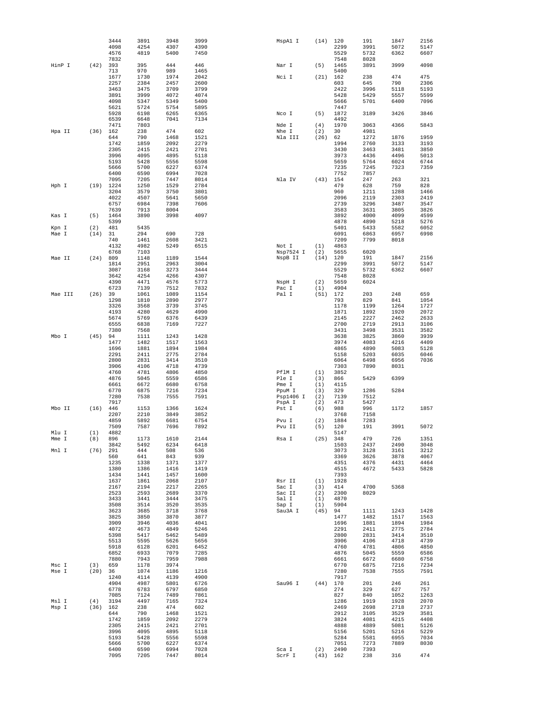|                |             | 3444<br>4098 | 3891<br>4254 | 3948<br>4307 | 3999<br>4390 | MspAl I          | (14)        | 120<br>2299  | 191<br>3991  | 1847<br>5072 | 2156<br>5147 |
|----------------|-------------|--------------|--------------|--------------|--------------|------------------|-------------|--------------|--------------|--------------|--------------|
|                |             | 4576         | 4819         | 5400         | 7450         |                  |             | 5529         | 5732         | 6362         | 6607         |
|                |             | 7832         |              |              |              |                  |             | 7548         | 8028         |              |              |
| HinP I         | (42)        | 393          | 395          | 444          | 446          | Nar I            | (5)         | 1465         | 3891         | 3999         | 4098         |
|                |             | 713<br>1677  | 970<br>1730  | 989<br>1974  | 1465<br>2042 | Nci I            | (21)        | 5400<br>162  | 238          | 474          | 475          |
|                |             | 2257         | 2384         | 2457         | 2600         |                  |             | 603          | 645          | 790          | 2306         |
|                |             | 3463         | 3475         | 3709         | 3799         |                  |             | 2422         | 3996         | 5118         | 5193         |
|                |             | 3891         | 3999         | 4072         | 4074         |                  |             | 5428         | 5429         | 5557         | 5599         |
|                |             | 4098<br>5621 | 5347<br>5724 | 5349<br>5754 | 5400<br>5895 |                  |             | 5666<br>7447 | 5701         | 6400         | 7096         |
|                |             | 5928         | 6198         | 6265         | 6365         | Nco I            | (5)         | 1872         | 3189         | 3426         | 3846         |
|                |             | 6539         | 6648         | 7041         | 7134         |                  |             | 4492         |              |              |              |
|                |             | 7471         | 7803         |              |              | Nde I            | (4)         | 1970         | 3063         | 4366         | 5843         |
| Hpa II         | (36)        | 162<br>644   | 238<br>790   | 474<br>1468  | 602<br>1521  | Nhe I<br>Nla III | (2)<br>(26) | 30<br>62     | 4981<br>1272 | 1876         | 1959         |
|                |             | 1742         | 1859         | 2092         | 2279         |                  |             | 1994         | 2760         | 3133         | 3193         |
|                |             | 2305         | 2415         | 2421         | 2701         |                  |             | 3430         | 3463         | 3481         | 3850         |
|                |             | 3996         | 4095         | 4895         | 5118         |                  |             | 3973         | 4436         | 4496         | 5013         |
|                |             | 5193<br>5666 | 5428<br>5700 | 5556<br>6227 | 5598<br>6374 |                  |             | 5659<br>7235 | 5764<br>7245 | 6024<br>7323 | 6744<br>7359 |
|                |             | 6400         | 6590         | 6994         | 7028         |                  |             | 7752         | 7857         |              |              |
|                |             | 7095         | 7205         | 7447         | 8014         | Nla IV           | (43)        | 154          | 247          | 263          | 321          |
| Hph I          | (19)        | 1224         | 1250         | 1529         | 2784         |                  |             | 479          | 628          | 759          | 828          |
|                |             | 3204<br>4022 | 3579<br>4507 | 3750<br>5641 | 3801<br>5650 |                  |             | 960<br>2096  | 1211<br>2119 | 1288<br>2303 | 1466<br>2419 |
|                |             | 6757         | 6984         | 7398         | 7606         |                  |             | 2739         | 3296         | 3487         | 3547         |
|                |             | 7639         | 7913         | 8004         |              |                  |             | 3583         | 3631         | 3805         | 3826         |
| Kas I          | (5)         | 1464         | 3890         | 3998         | 4097         |                  |             | 3892         | 4000         | 4099         | 4599         |
|                |             | 5399         |              |              |              |                  |             | 4878         | 4890         | 5218         | 5276         |
| Kpn I<br>Mae I | (2)<br>(14) | 481<br>31    | 5435<br>294  | 690          | 728          |                  |             | 5401<br>6091 | 5433<br>6863 | 5582<br>6957 | 6052<br>6998 |
|                |             | 740          | 1461         | 2608         | 3421         |                  |             | 7209         | 7799         | 8018         |              |
|                |             | 4132         | 4982         | 5249         | 6515         | Not I            | (1)         | 4863         |              |              |              |
|                |             | 6768         | 7103         |              |              | Nsp7524 I        | (2)         | 5655         | 6020         |              |              |
| Mae II         | (24)        | 809<br>1814  | 1148<br>2951 | 1189<br>2963 | 1544<br>3004 | NspB II          | (14)        | 120<br>2299  | 191<br>3991  | 1847<br>5072 | 2156<br>5147 |
|                |             | 3087         | 3168         | 3273         | 3444         |                  |             | 5529         | 5732         | 6362         | 6607         |
|                |             | 3642         | 4254         | 4266         | 4307         |                  |             | 7548         | 8028         |              |              |
|                |             | 4390         | 4471         | 4576         | 5773         | NspH I           | (2)         | 5659         | 6024         |              |              |
| Mae III        | (26)        | 6723<br>39   | 7139<br>1061 | 7512<br>1089 | 7832<br>1154 | Pac I<br>Pal I   | (1)<br>(51) | 4904<br>172  | 203          | 248          | 659          |
|                |             | 1298         | 1810         | 2890         | 2977         |                  |             | 793          | 829          | 841          | 1054         |
|                |             | 3326         | 3568         | 3739         | 3745         |                  |             | 1178         | 1199         | 1264         | 1727         |
|                |             | 4193         | 4280         | 4629         | 4990         |                  |             | 1871         | 1892         | 1920         | 2072         |
|                |             | 5674<br>6555 | 5769<br>6838 | 6376<br>7169 | 6439<br>7227 |                  |             | 2145<br>2700 | 2227<br>2719 | 2462<br>2913 | 2633<br>3106 |
|                |             | 7380         | 7568         |              |              |                  |             | 3431         | 3498         | 3531         | 3582         |
| Mbo I          | (45)        | 94           | 1111         | 1243         | 1428         |                  |             | 3638         | 3825         | 3860         | 3939         |
|                |             | 1477         | 1482         | 1517         | 1563         |                  |             | 3974         | 4083         | 4216         | 4409         |
|                |             | 1696         | 1881         | 1894         | 1984         |                  |             | 4865         | 4890         | 5083         | 5128         |
|                |             | 2291<br>2800 | 2411<br>2831 | 2775<br>3414 | 2784<br>3510 |                  |             | 5158<br>6064 | 5203<br>6498 | 6035<br>6956 | 6046<br>7036 |
|                |             | 3906         | 4106         | 4718         | 4739         |                  |             | 7303         | 7890         | 8031         |              |
|                |             | 4760         | 4781         | 4806         | 4850         | PflM I           | (1)         | 3852         |              |              |              |
|                |             | 4876         | 5045<br>6672 | 5559         | 6586<br>6758 | Ple I<br>Pme I   | (3)<br>(1)  | 866<br>4115  | 5429         | 6399         |              |
|                |             | 6661<br>6770 | 6875         | 6680<br>7216 | 7234         | PpuM I           | (3)         | 329          | 1286         | 5284         |              |
|                |             | 7280         | 7538         | 7555         | 7591         | Psp1406 I        | (2)         | 7139         | 7512         |              |              |
|                |             | 7917         |              |              |              | PspA I           | (2)         | 473          | 5427         |              |              |
| Mbo II         | (16)        | 446<br>2207  | 1153<br>2210 | 1366<br>3849 | 1624<br>3852 | Pst I            | (6)         | 988<br>3768  | 996<br>7158  | 1172         | 1857         |
|                |             | 4859         | 5892         | 6681         | 6754         | Pvu I            | (2)         | 1884         | 7283         |              |              |
|                |             | 7509         | 7587         | 7696         | 7892         | Pvu II           | (5)         | 120          | 191          | 3991         | 5072         |
| Mlu I          | (1)         | 4882         |              |              |              |                  |             | 5147         |              |              |              |
| Mme I          | (8)         | 896<br>3842  | 1173<br>5492 | 1610<br>6234 | 2144<br>6418 | Rsa I            | (25)        | 348<br>1503  | 479<br>2437  | 726<br>2490  | 1351<br>3048 |
| Mnl I          | (76)        | 291          | 444          | 508          | 536          |                  |             | 3073         | 3128         | 3161         | 3212         |
|                |             | 560          | 641          | 843          | 939          |                  |             | 3369         | 3626         | 3878         | 4067         |
|                |             | 1235         | 1338         | 1371         | 1377         |                  |             | 4351         | 4376         | 4431         | 4464         |
|                |             | 1380<br>1434 | 1386<br>1441 | 1416<br>1457 | 1419<br>1600 |                  |             | 4515<br>7393 | 4672         | 5433         | 5828         |
|                |             | 1637         | 1861         | 2068         | 2107         | Rsr II           | (1)         | 1928         |              |              |              |
|                |             | 2167         | 2194         | 2217         | 2265         | Sac I            | (3)         | 414          | 4700         | 5368         |              |
|                |             | 2523         | 2593         | 2689         | 3370         | Sac II           | (2)         | 2300         | 8029         |              |              |
|                |             | 3433<br>3508 | 3441<br>3514 | 3444<br>3520 | 3475<br>3535 | Sal I            | (1)<br>(1)  | 4870<br>5904 |              |              |              |
|                |             | 3623         | 3685         | 3718         | 3768         | Sap I<br>Sau3A I | (45)        | 94           | 1111         | 1243         | 1428         |
|                |             | 3825         | 3850         | 3870         | 3877         |                  |             | 1477         | 1482         | 1517         | 1563         |
|                |             | 3909         | 3946         | 4036         | 4041         |                  |             | 1696         | 1881         | 1894         | 1984         |
|                |             | 4072         | 4673         | 4849         | 5246         |                  |             | 2291         | 2411         | 2775         | 2784         |
|                |             | 5398<br>5513 | 5417<br>5595 | 5462<br>5626 | 5489<br>5656 |                  |             | 2800<br>3906 | 2831<br>4106 | 3414<br>4718 | 3510<br>4739 |
|                |             | 5918         | 6128         | 6201         | 6452         |                  |             | 4760         | 4781         | 4806         | 4850         |
|                |             | 6852         | 6933         | 7079         | 7285         |                  |             | 4876         | 5045         | 5559         | 6586         |
|                |             | 7880         | 7943         | 7959         | 7988         |                  |             | 6661         | 6672         | 6680         | 6758         |
| Msc I<br>Mse I | (3)<br>(20) | 659<br>36    | 1178<br>1074 | 3974<br>1186 | 1216         |                  |             | 6770<br>7280 | 6875<br>7538 | 7216<br>7555 | 7234<br>7591 |
|                |             | 1240         | 4114         | 4139         | 4900         |                  |             | 7917         |              |              |              |
|                |             | 4904         | 4987         | 5801         | 6726         | Sau96 I          | (44)        | 170          | 201          | 246          | 261          |
|                |             | 6778         | 6783         | 6797         | 6850         |                  |             | 274          | 329          | 627          | 757          |
|                |             | 7085         | 7124         | 7489         | 7861         |                  |             | 827          | 840          | 1052         | 1263         |
| Msl I<br>Msp I | (4)<br>(36) | 3194<br>162  | 4497<br>238  | 7165<br>474  | 7324<br>602  |                  |             | 1286<br>2469 | 1919<br>2698 | 1928<br>2718 | 2070<br>2737 |
|                |             | 644          | 790          | 1468         | 1521         |                  |             | 2912         | 3105         | 3529         | 3581         |
|                |             | 1742         | 1859         | 2092         | 2279         |                  |             | 3824         | 4081         | 4215         | 4408         |
|                |             | 2305         | 2415         | 2421         | 2701         |                  |             | 4888         | 4889         | 5081         | 5126         |
|                |             | 3996<br>5193 | 4095<br>5428 | 4895<br>5556 | 5118<br>5598 |                  |             | 5156<br>5284 | 5201<br>5581 | 5216<br>6955 | 5229<br>7034 |
|                |             | 5666         | 5700         | 6227         | 6374         |                  |             | 7051         | 7273         | 7889         | 8030         |
|                |             | 6400         | 6590         | 6994         | 7028         | Sca I            | (2)         | 2490         | 7393         |              |              |
|                |             | 7095         | 7205         | 7447         | 8014         | ScrF I           | (43)        | 162          | 238          | 316          | 474          |